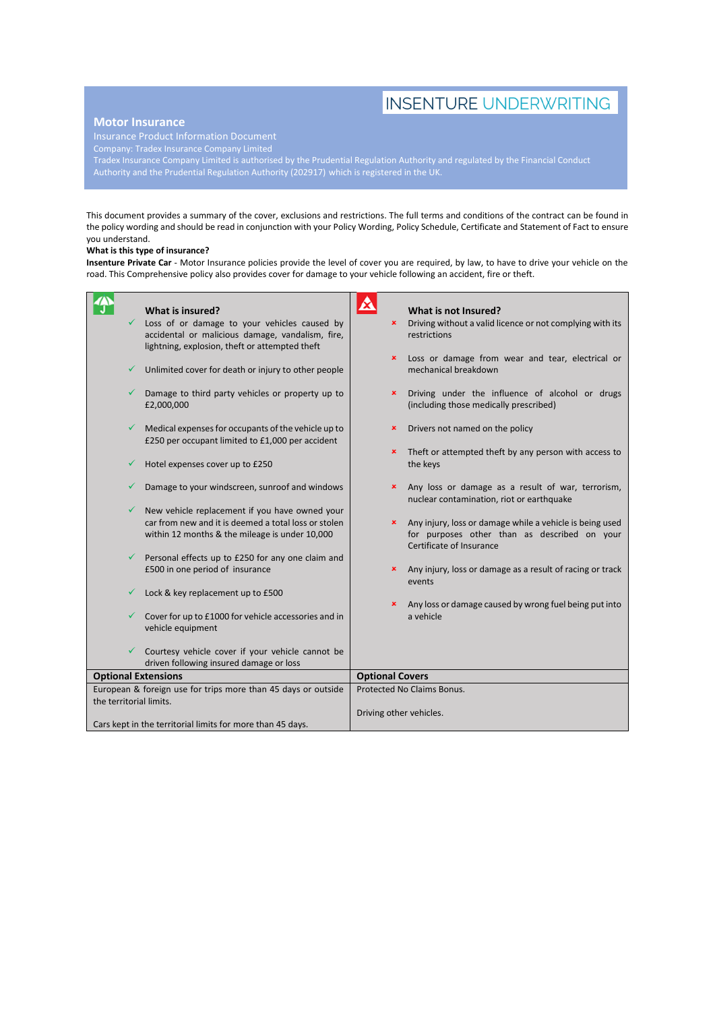# **INSENTURE UNDERWRITING**

# **Motor Insurance**

Company: Tradex Insurance Company Limited

Tradex Insurance Company Limited is authorised by the Prudential Regulation Authority and regulated by the Financial Conduct Authority and the Prudential Regulation Authority (202917) which is registered in the UK.

This document provides a summary of the cover, exclusions and restrictions. The full terms and conditions of the contract can be found in the policy wording and should be read in conjunction with your Policy Wording, Policy Schedule, Certificate and Statement of Fact to ensure you understand.

## **What is this type of insurance?**

**Insenture Private Car** - Motor Insurance policies provide the level of cover you are required, by law, to have to drive your vehicle on the road. This Comprehensive policy also provides cover for damage to your vehicle following an accident, fire or theft.

|                                                               | What is insured?                                                                                        | ◬                       | What is not Insured?                                                                                                                 |
|---------------------------------------------------------------|---------------------------------------------------------------------------------------------------------|-------------------------|--------------------------------------------------------------------------------------------------------------------------------------|
|                                                               | Loss of or damage to your vehicles caused by                                                            | ×                       | Driving without a valid licence or not complying with its                                                                            |
|                                                               | accidental or malicious damage, vandalism, fire,<br>lightning, explosion, theft or attempted theft      |                         | restrictions                                                                                                                         |
|                                                               |                                                                                                         | $\pmb{\times}$          | Loss or damage from wear and tear, electrical or                                                                                     |
|                                                               | Unlimited cover for death or injury to other people                                                     |                         | mechanical breakdown                                                                                                                 |
|                                                               | Damage to third party vehicles or property up to<br>£2,000,000                                          | ×                       | Driving under the influence of alcohol or drugs<br>(including those medically prescribed)                                            |
|                                                               | Medical expenses for occupants of the vehicle up to<br>£250 per occupant limited to £1,000 per accident | $\pmb{\times}$          | Drivers not named on the policy                                                                                                      |
|                                                               |                                                                                                         | ×                       | Theft or attempted theft by any person with access to                                                                                |
|                                                               | Hotel expenses cover up to £250                                                                         |                         | the keys                                                                                                                             |
|                                                               | Damage to your windscreen, sunroof and windows                                                          | ×                       | Any loss or damage as a result of war, terrorism,<br>nuclear contamination, riot or earthquake                                       |
| ✓                                                             | New vehicle replacement if you have owned your                                                          |                         |                                                                                                                                      |
|                                                               | car from new and it is deemed a total loss or stolen<br>within 12 months & the mileage is under 10,000  | ×                       | Any injury, loss or damage while a vehicle is being used<br>for purposes other than as described on your<br>Certificate of Insurance |
| ✓                                                             | Personal effects up to £250 for any one claim and                                                       |                         |                                                                                                                                      |
|                                                               | £500 in one period of insurance                                                                         | ×                       | Any injury, loss or damage as a result of racing or track<br>events                                                                  |
|                                                               | Lock & key replacement up to £500                                                                       |                         |                                                                                                                                      |
|                                                               |                                                                                                         |                         | Any loss or damage caused by wrong fuel being put into                                                                               |
|                                                               | Cover for up to £1000 for vehicle accessories and in<br>vehicle equipment                               |                         | a vehicle                                                                                                                            |
|                                                               | Courtesy vehicle cover if your vehicle cannot be                                                        |                         |                                                                                                                                      |
|                                                               | driven following insured damage or loss                                                                 |                         |                                                                                                                                      |
| <b>Optional Extensions</b>                                    |                                                                                                         | <b>Optional Covers</b>  |                                                                                                                                      |
| European & foreign use for trips more than 45 days or outside |                                                                                                         |                         | Protected No Claims Bonus.                                                                                                           |
| the territorial limits.                                       |                                                                                                         |                         |                                                                                                                                      |
|                                                               |                                                                                                         | Driving other vehicles. |                                                                                                                                      |
| Cars kept in the territorial limits for more than 45 days.    |                                                                                                         |                         |                                                                                                                                      |